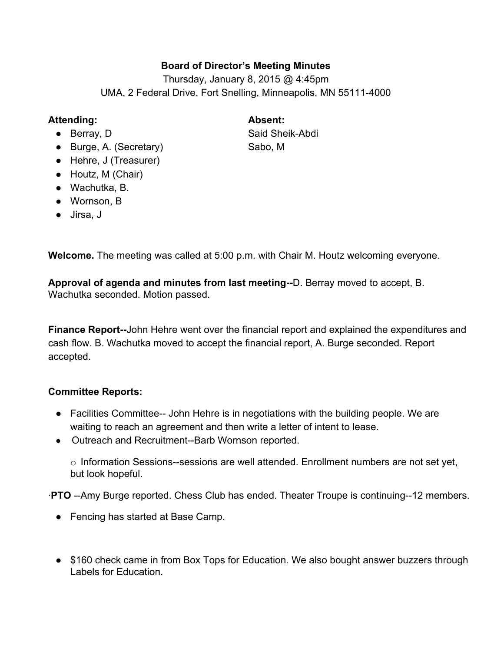## **Board of Director's Meeting Minutes**

Thursday, January 8, 2015 @ 4:45pm UMA, 2 Federal Drive, Fort Snelling, Minneapolis, MN 55111-4000

## **Attending: Absent:**

- 
- Burge, A. (Secretary) Sabo, M
- Hehre, J (Treasurer)
- Houtz, M (Chair)
- Wachutka, B.
- Wornson, B
- Jirsa, J

● Berray, D Said Sheik-Abdi

**Welcome.**The meeting was called at 5:00 p.m. with Chair M. Houtz welcoming everyone.

**Approval of agenda and minutes from last meeting--D. Berray moved to accept, B.** Wachutka seconded. Motion passed.

**Finance Report--John Hehre went over the financial report and explained the expenditures and** cash flow. B. Wachutka moved to accept the financial report, A. Burge seconded. Report accepted.

## **Committee Reports:**

- Facilities Committee-- John Hehre is in negotiations with the building people. We are waiting to reach an agreement and then write a letter of intent to lease.
- Outreach and Recruitment--Barb Wornson reported.

 $\circ$  Information Sessions--sessions are well attended. Enrollment numbers are not set yet, but look hopeful.

∙**PTO** --Amy Burge reported. Chess Club has ended. Theater Troupe is continuing--12 members.

- Fencing has started at Base Camp.
- \$160 check came in from Box Tops for Education. We also bought answer buzzers through Labels for Education.